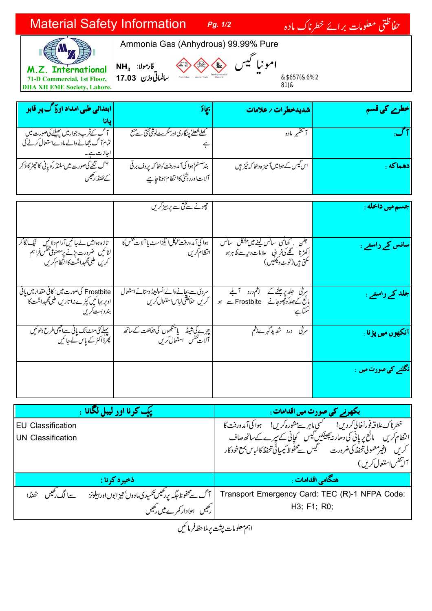## حفاظتی معلومات برائے خطرناک مادہ میں 1/2 .Pg. 1/2 .Pg Material Safety Information



## Ammonia Gas (Anhydrous) 99.99% Pure .<br>.

E NH $_3$  نادمولا: ىبالماتى دزن 17.03

امونيا گيس

Azane : Spirit of Hartshorn

| خطرے کی قسم     | شدیدخطرات / علامات                    | بيجاؤ                                     | <mark> ابتدائی طبی امداد او§گ پر قابو</mark>                                              |
|-----------------|---------------------------------------|-------------------------------------------|-------------------------------------------------------------------------------------------|
|                 |                                       |                                           |                                                                                           |
| 7 گ.            | آتشگیر ماده                           | كحط شعله چنگارى اور سگريٹ نوشى تحق سے منع | اسم گ کےقرب وجوار میں پھیلنے کی صورت میں<br> <br>  تمام آگ بجھانے والے مادےاستعال کرنے کی |
|                 |                                       |                                           |                                                                                           |
|                 |                                       |                                           | احازت ہے۔                                                                                 |
| دهماكه :        | اس گیس کے ہوامیںآمیز ہ دھا کہ خیز ہیں | بندسسٹم'ہوا کیآمدورفت'دھا کہ پروف برقی    | آگ لگنے کی صورت میں سلنڈ رکو یانی کا چھڑ کاؤ کر                                           |
|                 |                                       | آلات اورروشنى كاانتظام ہوناجا ہے          | کے ٹھنڈار کھیں                                                                            |
|                 |                                       |                                           |                                                                                           |
|                 |                                       |                                           |                                                                                           |
| جسم میں داخله : |                                       | چھونے سے حق سے پر ہیز کریں                |                                                                                           |

|                                                                                                                           | چھونے سے تختی سے پر ہیز کریں                                               |                                                                                                                                           | <mark>  جسم میں داخله :</mark> |
|---------------------------------------------------------------------------------------------------------------------------|----------------------------------------------------------------------------|-------------------------------------------------------------------------------------------------------------------------------------------|--------------------------------|
| تازہ ہوامیں لےجا نیںآ رام دلائیں گلیگ لگا کر<br>لٹا نیں ضرورت پڑنے پر مصنوعی تنفس فراہم<br>کریں طبی نگہداشت کاانتظام کریں | ہوا کی آمدورفت'لوکلا تیزاسٹ پا آلا ت نفس کا<br>انتظام كريں                 | مجلن <sub>، ك</sub> ھالسى ساكس <u>لىنے ميں مشكل</u> ساكس<br>اكھڑنا گلے كی خرابی علامات دیر سے ظاہرہو<br>سکتی ہیں(نو <sub>ٹ د</sub> یکھیں) | سانس کے راستے :                |
| Frostbite کی صورت میں بِحافی مقدار میں پائی<br>  اوپر بہا ئیں کپڑے نہا تاریں طبی نگہداشت کا<br>بندوبست کریں               | سردی سے بچانے والےانسولیٹڈ دستانےاستعال<br>  کریں خفاظثی لباس استعمال کریں | ہرفی جلد پر جلنے کے زخم درد آبے<br>مائع کےجلدکوچھوجانے Frostbite سے ہو                                                                    | جلد کے راستے :                 |
| <u>یہلے گئی منٹ تک پانی سےاچھی طرح دھوئیں</u><br>  پھرڈا کٹر کے پاس لے جا تیں                                             | چرے کی شیلڈ پا آٹھوں کی حفاظت کے ساتھ<br>آلات تنفس استعال کریں             | سرقی درد شدید <sub>گ</sub> رےزخم                                                                                                          | آنکهوں میں پڑنا <sub>:</sub>   |
|                                                                                                                           |                                                                            |                                                                                                                                           | نگلنے کی <i>ص</i> ورت میں :    |

| <b>کیل کرنا اور لیبل لگانا :</b>                                                           | <mark>بکھرنے کی صورت میں اقدامات :</mark>                                        |  |  |
|--------------------------------------------------------------------------------------------|----------------------------------------------------------------------------------|--|--|
| <b>EU Classification</b>                                                                   | خطرناك علاقہ فوراً خالی کردیں! گسمی ماہر سے مشورہ کریں! ہوا کی آمدورفت کا        |  |  |
| UN Classification                                                                          | انتظام کریں      مائع پر پانی کی دھارنہ پھینکیں گیس    کھانی کے سیرے کے ساتھ صاف |  |  |
|                                                                                            | کریں (فیبر معمولی تحفظ کی ضرورت سے گیس سے محفوظ کیمیائی تحفظ کالباس بمع خود کار  |  |  |
|                                                                                            | ألتنفس ستعال كر س)                                                               |  |  |
| ذخيره كرنا :                                                                               | ِ هنگام <sub>ی</sub> اقدامات <sub>:</sub>                                        |  |  |
| آگ سےمحفوظ <i>جگہ پر گھی</i> ں تکسیدی مادوںٴ تیز ابوںاور ہیلونز ہے الگ <i>رکھی</i> ں گھنڈا | Transport Emergency Card: TEC (R)-1 NFPA Code:                                   |  |  |
| رکھیں ہوادار کمرے میں <i>رکھی</i> ں                                                        | $H3$ ; F1; R0;                                                                   |  |  |
| اہم معلولہ مدیشہ پر ملاحظ فر ائنس                                                          |                                                                                  |  |  |

اہم معلومات پشت پرملاحظ فرمائیں